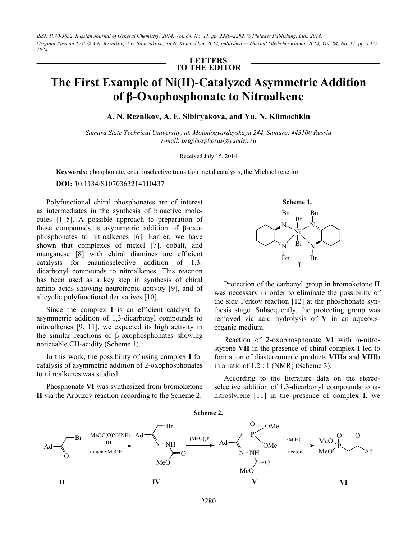*ISSN 1070-3632, Russian Journal of General Chemistry, 2014, Vol. 84, No. 11, pp. 2280–2282. © Pleiades Publishing, Ltd., 2014. Original Russian Text © A.N. Reznikov, A.E. Sibiryakova, Yu.N. Klimochkin, 2014, published in Zhurnal Obshchei Khimii, 2014, Vol. 84, No. 11, pp. 1922– 1924.* 

> **LETTERS TO THE EDITOR**

## **The First Example of Ni(II)-Catalyzed Asymmetric Addition of β-Oxophosphonate to Nitroalkene**

**A. N. Reznikov, A. E. Sibiryakova, and Yu. N. Klimochkin** 

*Samara State Technical University, ul. Molodogvardeyskaya 244, Samara, 443100 Russia e-mail: orgphosphorus@yandex.ru* 

## Received July 15, 2014

**Keywords:** phosphonate, enantioselective transition metal catalysis, the Michael reaction

**DOI:** 10.1134/S1070363214110437

Polyfunctional chiral phosphonates are of interest as intermediates in the synthesis of bioactive molecules [1–5]. A possible approach to preparation of these compounds is asymmetric addition of β-oxophosphonates to nitroalkenes [6]. Earlier, we have shown that complexes of nickel [7], cobalt, and manganese [8] with chiral diamines are efficient catalysts for enantioselective addition of 1,3 dicarbonyl compounds to nitroalkenes. This reaction has been used as a key step in synthesis of chiral amino acids showing neurotropic activity [9], and of alicyclic polyfunctional derivatives [10].

Since the complex **I** is an efficient catalyst for asymmetric addition of 1,3-dicarbonyl compounds to nitroalkenes [9, 11], we expected its high activity in the similar reactions of β-oxophosphonates showing noticeable CH-acidity (Scheme 1).

In this work, the possibility of using complex **I** for catalysis of asymmetric addition of 2-oxophosphonates to nitroalkenes was studied.

Phosphonate **VI** was synthesized from bromoketone **II** via the Arbuzov reaction according to the Scheme 2.



Protection of the carbonyl group in bromoketone **II** was necessary in order to eliminate the possibility of the side Perkov reaction [12] at the phosphonate synthesis stage. Subsequently, the protecting group was removed via acid hydrolysis of **V** in an aqueousorganic medium.

Reaction of 2-oxophosphonate **VI** with ω-nitrostyrene **VII** in the presence of chiral complex **I** led to formation of diastereomeric products **VIIIa** and **VIIIb** in a ratio of 1.2 : 1 (NMR) (Scheme 3).

According to the literature data on the stereoselective addition of 1,3-dicarbonyl compounds to ωnitrostyrene [11] in the presence of complex **I**, we

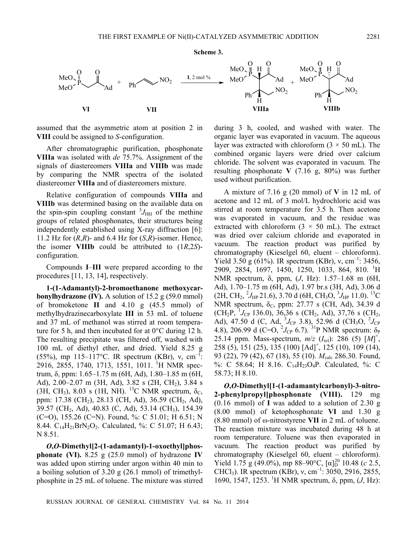

assumed that the asymmetric atom at position 2 in **VIII** could be assigned to *S*-configuration.

After chromatographic purification, phosphonate **VIIIa** was isolated with *de* 75.7%. Assignment of the signals of diastereomers **VIIIa** and **VIIIb** was made by comparing the NMR spectra of the isolated diastereomer **VIIIa** and of diastereomers mixture.

Relative configuration of compounds **VIIIa** and **VIIIb** was determined basing on the available data on the spin-spin coupling constant  ${}^{3}J_{HH}$  of the methine groups of related phosphonates, their structures being independently established using X-ray diffraction [6]: 11.2 Hz for  $(R,R)$ - and 6.4 Hz for  $(S,R)$ -isomer. Hence, the isomer **VIIIb** could be attributed to (1*R*,2*S*) configuration.

Compounds **I**–**III** were prepared according to the procedures [11, 13, 14], respectively.

**1-(1-Adamantyl)-2-bromoethanone methoxycarbonylhydrazone (IV).** A solution of 15.2 g (59.0 mmol) of bromoketone **II** and 4.10 g (45.5 mmol) of methylhydrazinecarboxylate **III** in 53 mL of toluene and 37 mL of methanol was stirred at room temperature for 5 h, and then incubated for at 0°C during 12 h. The resulting precipitate was filtered off, washed with 100 mL of diethyl ether, and dried. Yield 8.25 g (55%), mp 115–117°C. IR spectrum (KBr),  $v$ , cm<sup>-1</sup>: 2916, 2855, 1740, 1713, 1551, 1011. <sup>1</sup>H NMR spectrum, δ, ppm: 1.65–1.75 m (6Н, Ad), 1.80–1.85 m (6Н, Ad),  $2.00-2.07$  m (3H, Ad),  $3.82$  s (2H, CH<sub>2</sub>),  $3.84$  s (3H, CH<sub>3</sub>), 8.03 s (1H, NH). <sup>13</sup>C NMR spectrum,  $\delta_c$ , ppm: 17.38 (CH<sub>2</sub>), 28.13 (CH, Ad), 36.59 (CH<sub>2</sub>, Ad), 39.57 (CH<sub>2</sub>, Ad), 40.83 (C, Ad), 53.14 (CH<sub>3</sub>), 154.39  $(C=O)$ , 155.26  $(C=N)$ . Found, %: C 51.01; H 6.51; N 8.44.  $C_{14}H_{21}BrN_2O_2$ . Calculated, %: C 51.07; H 6.43; N 8.51.

*O***,***O***-Dimethyl[2-(1-adamantyl)-1-oxoethyl]phosphonate (VI).** 8.25 g (25.0 mmol) of hydrazone **IV** was added upon stirring under argon within 40 min to a boiling solution of 3.20 g (26.1 mmol) of trimethylphosphite in 25 mL of toluene. The mixture was stirred



during 3 h, cooled, and washed with water. The organic layer was evaporated in vacuum. The aqueous layer was extracted with chloroform  $(3 \times 50 \text{ mL})$ . The combined organic layers were dried over calcium chloride. The solvent was evaporated in vacuum. The resulting phosphonate **V** (7.16 g, 80%) was further used without purification.

A mixture of 7.16 g (20 mmol) of **V** in 12 mL of acetone and 12 mL of 3 mol/L hydrochloric acid was stirred at room temperature for 3.5 h. Then acetone was evaporated in vacuum, and the residue was extracted with chloroform  $(3 \times 50 \text{ mL})$ . The extract was dried over calcium chloride and evaporated in vacuum. The reaction product was purified by chromatography (Kieselgel 60, eluent – chloroform). Yield 3.50 g (61%). IR spectrum (KBr),  $v, \text{ cm}^{-1}$ : 3456, 2909, 2854, 1697, 1450, 1250, 1033, 864, 810. <sup>1</sup>H NMR spectrum, δ, ppm, (*J*, Hz): 1.57–1.68 m (6Н, Ad), 1.70–1.75 m (6Н, Ad), 1.97 br.s (3Н, Ad), 3.06 d (2Н, CH<sub>2</sub>, <sup>2</sup> J<sub>HP</sub> 21.6), 3.70 d (6Н, CH<sub>3</sub>O, <sup>3</sup> J<sub>HP</sub> 11.0). <sup>13</sup>C NMR spectrum,  $\delta_c$ , ppm: 27.77 s (CH, Ad), 34.39 d  $(CH_2P, {}^{1}J_{CP}$  136.0), 36,36 s (CH<sub>2</sub>, Ad), 37,76 s (CH<sub>2</sub>, Ad), 47.50 d (C, Ad,  ${}^{3}J_{CP}$  3.8), 52.96 d (CH<sub>3</sub>O,  ${}^{2}J_{CP}$ 4.8), 206.99 d (C=O, <sup>2</sup> $J_{CP}$  6.7). <sup>31</sup>P NMR spectrum: δ<sub>P</sub> 25.14 ppm. Mass-spectrum,  $m/z$  ( $I_{rel}$ ): 286 (5) [M]<sup>+</sup>, 258 (5), 151 (25), 135 (100) [Ad]+ , 125 (10), 109 (14), 93 (22), 79 (42), 67 (18), 55 (10). *M*<sub>calc</sub> 286.30. Found, %: C 58.64; H 8.16.  $C_{14}H_{23}O_4P$ . Calculated, %: C 58.73; H 8.10.

*O***,***O***-Dimethyl[1-(1-adamantylcarbonyl)-3-nitro-2-phenylpropyl]phosphonate (VIII).** 129 mg (0.16 mmol) of **I** was added to a solution of 2.30 g (8.00 mmol) of ketophosphonate **VI** and 1.30 g (8.80 mmol) of ω-nitrostyrene **VII** in 2 mL of toluene. The reaction mixture was incubated during 48 h at room temperature. Toluene was then evaporated in vacuum. The reaction product was purified by chromatography (Kieselgel 60, eluent – chloroform). Yield 1.75 g (49.0%), mp 88–90°C,  $[\alpha]_D^{20}$  10.48 (*c* 2.5, CHCl<sub>3</sub>). IR spectrum (KBr),  $v, cm^{-1}$ : 3050, 2916, 2855, 1690, 1547, 1253. <sup>1</sup> H NMR spectrum, δ, ppm, (*J*, Hz):